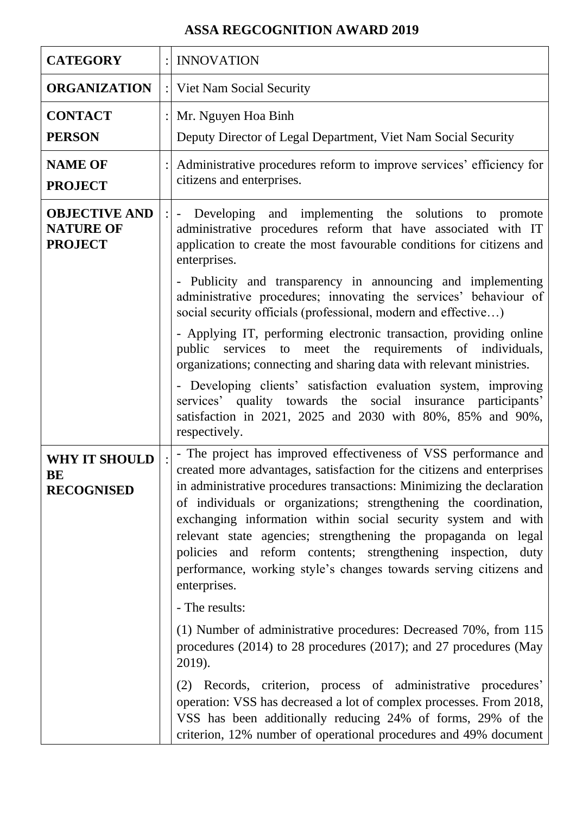## **ASSA REGCOGNITION AWARD 2019**

| <b>CATEGORY</b>                                            |                | <b>INNOVATION</b>                                                                                                                                                                                                                                                                                                                                                                                                                                                                                                                                                                 |
|------------------------------------------------------------|----------------|-----------------------------------------------------------------------------------------------------------------------------------------------------------------------------------------------------------------------------------------------------------------------------------------------------------------------------------------------------------------------------------------------------------------------------------------------------------------------------------------------------------------------------------------------------------------------------------|
| <b>ORGANIZATION</b>                                        |                | : Viet Nam Social Security                                                                                                                                                                                                                                                                                                                                                                                                                                                                                                                                                        |
| <b>CONTACT</b>                                             | $\ddot{\cdot}$ | Mr. Nguyen Hoa Binh                                                                                                                                                                                                                                                                                                                                                                                                                                                                                                                                                               |
| <b>PERSON</b>                                              |                | Deputy Director of Legal Department, Viet Nam Social Security                                                                                                                                                                                                                                                                                                                                                                                                                                                                                                                     |
| <b>NAME OF</b><br><b>PROJECT</b>                           |                | Administrative procedures reform to improve services' efficiency for<br>citizens and enterprises.                                                                                                                                                                                                                                                                                                                                                                                                                                                                                 |
| <b>OBJECTIVE AND</b><br><b>NATURE OF</b><br><b>PROJECT</b> |                | Developing and implementing the solutions to promote<br>$\sim$<br>administrative procedures reform that have associated with IT<br>application to create the most favourable conditions for citizens and<br>enterprises.                                                                                                                                                                                                                                                                                                                                                          |
|                                                            |                | - Publicity and transparency in announcing and implementing<br>administrative procedures; innovating the services' behaviour of<br>social security officials (professional, modern and effective)                                                                                                                                                                                                                                                                                                                                                                                 |
|                                                            |                | - Applying IT, performing electronic transaction, providing online<br>public services to meet the requirements of individuals,<br>organizations; connecting and sharing data with relevant ministries.                                                                                                                                                                                                                                                                                                                                                                            |
|                                                            |                | - Developing clients' satisfaction evaluation system, improving<br>services' quality towards the social insurance participants'<br>satisfaction in 2021, 2025 and 2030 with 80%, 85% and 90%,<br>respectively.                                                                                                                                                                                                                                                                                                                                                                    |
| <b>WHY IT SHOULD</b><br>BE<br><b>RECOGNISED</b>            |                | - The project has improved effectiveness of VSS performance and<br>created more advantages, satisfaction for the citizens and enterprises<br>in administrative procedures transactions: Minimizing the declaration<br>of individuals or organizations; strengthening the coordination,<br>exchanging information within social security system and with<br>relevant state agencies; strengthening the propaganda on legal<br>policies and reform contents; strengthening inspection,<br>duty<br>performance, working style's changes towards serving citizens and<br>enterprises. |
|                                                            |                | - The results:                                                                                                                                                                                                                                                                                                                                                                                                                                                                                                                                                                    |
|                                                            |                | (1) Number of administrative procedures: Decreased 70%, from 115<br>procedures $(2014)$ to 28 procedures $(2017)$ ; and 27 procedures (May<br>2019).                                                                                                                                                                                                                                                                                                                                                                                                                              |
|                                                            |                | (2) Records, criterion, process of administrative procedures'<br>operation: VSS has decreased a lot of complex processes. From 2018,<br>VSS has been additionally reducing 24% of forms, 29% of the<br>criterion, 12% number of operational procedures and 49% document                                                                                                                                                                                                                                                                                                           |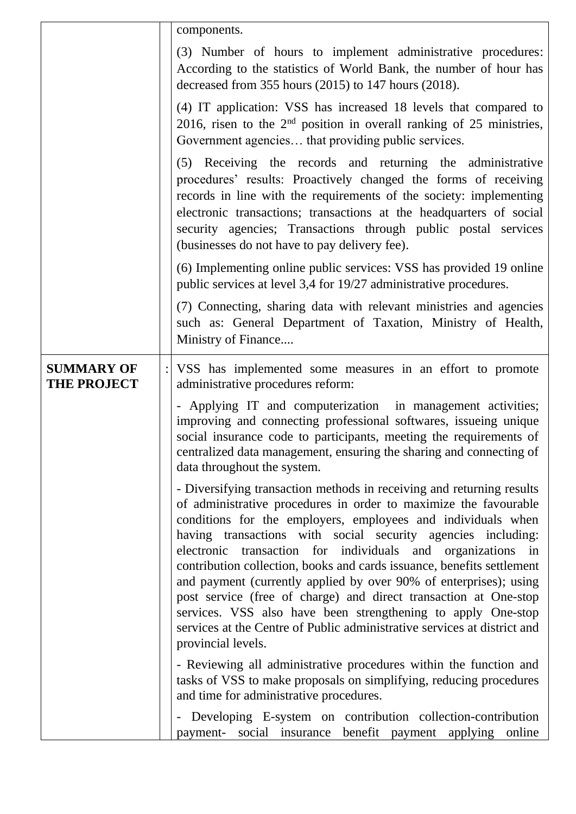|                                         | components.                                                                                                                                                                                                                                                                                                                                                                                                                                                                                                                                                                                                                                                                                                                   |
|-----------------------------------------|-------------------------------------------------------------------------------------------------------------------------------------------------------------------------------------------------------------------------------------------------------------------------------------------------------------------------------------------------------------------------------------------------------------------------------------------------------------------------------------------------------------------------------------------------------------------------------------------------------------------------------------------------------------------------------------------------------------------------------|
|                                         | (3) Number of hours to implement administrative procedures:<br>According to the statistics of World Bank, the number of hour has<br>decreased from 355 hours $(2015)$ to 147 hours $(2018)$ .                                                                                                                                                                                                                                                                                                                                                                                                                                                                                                                                 |
|                                         | (4) IT application: VSS has increased 18 levels that compared to<br>2016, risen to the $2nd$ position in overall ranking of 25 ministries,<br>Government agencies that providing public services.                                                                                                                                                                                                                                                                                                                                                                                                                                                                                                                             |
|                                         | (5) Receiving the records and returning the administrative<br>procedures' results: Proactively changed the forms of receiving<br>records in line with the requirements of the society: implementing<br>electronic transactions; transactions at the headquarters of social<br>security agencies; Transactions through public postal services<br>(businesses do not have to pay delivery fee).                                                                                                                                                                                                                                                                                                                                 |
|                                         | (6) Implementing online public services: VSS has provided 19 online<br>public services at level 3,4 for 19/27 administrative procedures.                                                                                                                                                                                                                                                                                                                                                                                                                                                                                                                                                                                      |
|                                         | (7) Connecting, sharing data with relevant ministries and agencies<br>such as: General Department of Taxation, Ministry of Health,<br>Ministry of Finance                                                                                                                                                                                                                                                                                                                                                                                                                                                                                                                                                                     |
| <b>SUMMARY OF</b><br><b>THE PROJECT</b> | : VSS has implemented some measures in an effort to promote<br>administrative procedures reform:                                                                                                                                                                                                                                                                                                                                                                                                                                                                                                                                                                                                                              |
|                                         | - Applying IT and computerization in management activities;<br>improving and connecting professional softwares, issueing unique<br>social insurance code to participants, meeting the requirements of<br>centralized data management, ensuring the sharing and connecting of<br>data throughout the system.                                                                                                                                                                                                                                                                                                                                                                                                                   |
|                                         | - Diversifying transaction methods in receiving and returning results<br>of administrative procedures in order to maximize the favourable<br>conditions for the employers, employees and individuals when<br>having transactions with social security agencies including:<br>electronic transaction for individuals and organizations in<br>contribution collection, books and cards issuance, benefits settlement<br>and payment (currently applied by over 90% of enterprises); using<br>post service (free of charge) and direct transaction at One-stop<br>services. VSS also have been strengthening to apply One-stop<br>services at the Centre of Public administrative services at district and<br>provincial levels. |
|                                         | - Reviewing all administrative procedures within the function and<br>tasks of VSS to make proposals on simplifying, reducing procedures<br>and time for administrative procedures.                                                                                                                                                                                                                                                                                                                                                                                                                                                                                                                                            |
|                                         | - Developing E-system on contribution collection-contribution<br>payment- social insurance benefit payment applying<br>online                                                                                                                                                                                                                                                                                                                                                                                                                                                                                                                                                                                                 |